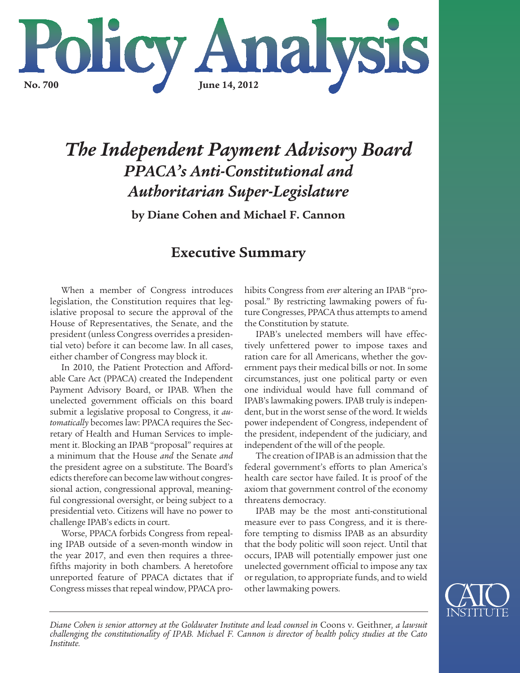

# *The Independent Payment Advisory Board PPACA's Anti-Constitutional and Authoritarian Super-Legislature*

**by Diane Cohen and Michael F. Cannon**

# **Executive Summary**

When a member of Congress introduces legislation, the Constitution requires that legislative proposal to secure the approval of the House of Representatives, the Senate, and the president (unless Congress overrides a presidential veto) before it can become law. In all cases, either chamber of Congress may block it.

In 2010, the Patient Protection and Affordable Care Act (PPACA) created the Independent Payment Advisory Board, or IPAB. When the unelected government officials on this board submit a legislative proposal to Congress, it *automatically* becomes law: PPACA requires the Secretary of Health and Human Services to implement it. Blocking an IPAB "proposal" requires at a minimum that the House *and* the Senate *and* the president agree on a substitute. The Board's edicts therefore can become law without congressional action, congressional approval, meaningful congressional oversight, or being subject to a presidential veto. Citizens will have no power to challenge IPAB's edicts in court.

Worse, PPACA forbids Congress from repealing IPAB outside of a seven-month window in the year 2017, and even then requires a threefifths majority in both chambers. A heretofore unreported feature of PPACA dictates that if Congress misses that repeal window, PPACA prohibits Congress from *ever* altering an IPAB "proposal." By restricting lawmaking powers of future Congresses, PPACA thus attempts to amend the Constitution by statute.

IPAB's unelected members will have effectively unfettered power to impose taxes and ration care for all Americans, whether the government pays their medical bills or not. In some circumstances, just one political party or even one individual would have full command of IPAB's lawmaking powers. IPAB truly is independent, but in the worst sense of the word. It wields power independent of Congress, independent of the president, independent of the judiciary, and independent of the will of the people.

The creation of IPAB is an admission that the federal government's efforts to plan America's health care sector have failed. It is proof of the axiom that government control of the economy threatens democracy.

IPAB may be the most anti-constitutional measure ever to pass Congress, and it is therefore tempting to dismiss IPAB as an absurdity that the body politic will soon reject. Until that occurs, IPAB will potentially empower just one unelected government official to impose any tax or regulation, to appropriate funds, and to wield other lawmaking powers.



*Diane Cohen is senior attorney at the Goldwater Institute and lead counsel in* Coons v. Geithner*, a lawsuit challenging the constitutionality of IPAB. Michael F. Cannon is director of health policy studies at the Cato Institute.*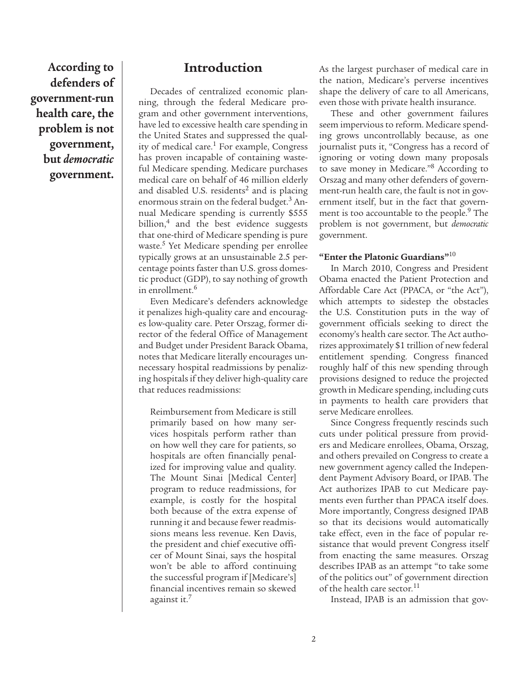**According to defenders of government-run health care, the problem is not government, but** *democratic* **government.**

## **Introduction**

Decades of centralized economic planning, through the federal Medicare program and other government interventions, have led to excessive health care spending in the United States and suppressed the quality of medical care.<sup>1</sup> For example, Congress has proven incapable of containing wasteful Medicare spending. Medicare purchases medical care on behalf of 46 million elderly and disabled U.S. residents<sup>2</sup> and is placing enormous strain on the federal budget.<sup>3</sup> Annual Medicare spending is currently \$555 billion,<sup>4</sup> and the best evidence suggests that one-third of Medicare spending is pure waste.<sup>5</sup> Yet Medicare spending per enrollee typically grows at an unsustainable 2.5 percentage points faster than U.S. gross domestic product (GDP), to say nothing of growth in enrollment.<sup>6</sup>

Even Medicare's defenders acknowledge it penalizes high-quality care and encourages low-quality care. Peter Orszag, former director of the federal Office of Management and Budget under President Barack Obama, notes that Medicare literally encourages unnecessary hospital readmissions by penalizing hospitals if they deliver high-quality care that reduces readmissions:

Reimbursement from Medicare is still primarily based on how many services hospitals perform rather than on how well they care for patients, so hospitals are often financially penalized for improving value and quality. The Mount Sinai [Medical Center] program to reduce readmissions, for example, is costly for the hospital both because of the extra expense of running it and because fewer readmissions means less revenue. Ken Davis, the president and chief executive officer of Mount Sinai, says the hospital won't be able to afford continuing the successful program if [Medicare's] financial incentives remain so skewed against it. $<sup>7</sup>$ </sup>

As the largest purchaser of medical care in the nation, Medicare's perverse incentives shape the delivery of care to all Americans, even those with private health insurance.

These and other government failures seem impervious to reform. Medicare spending grows uncontrollably because, as one journalist puts it, "Congress has a record of ignoring or voting down many proposals to save money in Medicare."8 According to Orszag and many other defenders of government-run health care, the fault is not in government itself, but in the fact that government is too accountable to the people.<sup>9</sup> The problem is not government, but *democratic* government.

#### **"Enter the Platonic Guardians"**<sup>10</sup>

In March 2010, Congress and President Obama enacted the Patient Protection and Affordable Care Act (PPACA, or "the Act"), which attempts to sidestep the obstacles the U.S. Constitution puts in the way of government officials seeking to direct the economy's health care sector. The Act authorizes approximately \$1 trillion of new federal entitlement spending. Congress financed roughly half of this new spending through provisions designed to reduce the projected growth in Medicare spending, including cuts in payments to health care providers that serve Medicare enrollees.

Since Congress frequently rescinds such cuts under political pressure from providers and Medicare enrollees, Obama, Orszag, and others prevailed on Congress to create a new government agency called the Independent Payment Advisory Board, or IPAB. The Act authorizes IPAB to cut Medicare payments even further than PPACA itself does. More importantly, Congress designed IPAB so that its decisions would automatically take effect, even in the face of popular resistance that would prevent Congress itself from enacting the same measures. Orszag describes IPAB as an attempt "to take some of the politics out" of government direction of the health care sector. $^{11}$ 

Instead, IPAB is an admission that gov-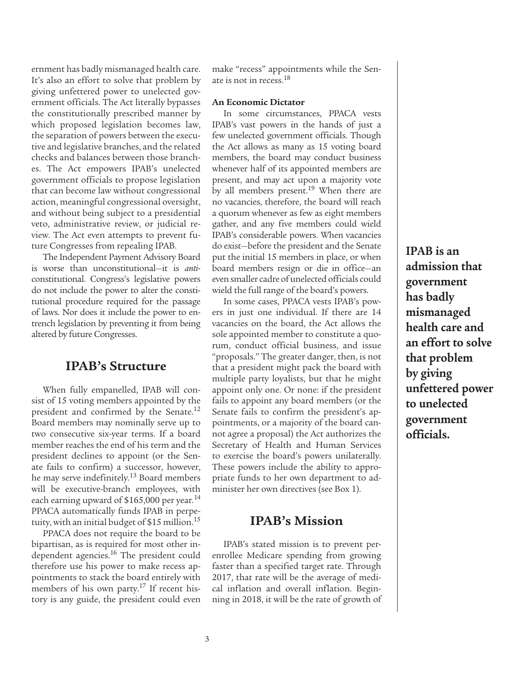ernment has badly mismanaged health care. It's also an effort to solve that problem by giving unfettered power to unelected government officials. The Act literally bypasses the constitutionally prescribed manner by which proposed legislation becomes law, the separation of powers between the executive and legislative branches, and the related checks and balances between those branches. The Act empowers IPAB's unelected government officials to propose legislation that can become law without congressional action, meaningful congressional oversight, and without being subject to a presidential veto, administrative review, or judicial review. The Act even attempts to prevent future Congresses from repealing IPAB.

The Independent Payment Advisory Board is worse than unconstitutional—it is *anti*constitutional. Congress's legislative powers do not include the power to alter the constitutional procedure required for the passage of laws. Nor does it include the power to entrench legislation by preventing it from being altered by future Congresses.

## **IPAB's Structure**

When fully empanelled, IPAB will consist of 15 voting members appointed by the president and confirmed by the Senate.<sup>12</sup> Board members may nominally serve up to two consecutive six-year terms. If a board member reaches the end of his term and the president declines to appoint (or the Senate fails to confirm) a successor, however, he may serve indefinitely.<sup>13</sup> Board members will be executive-branch employees, with each earning upward of  $$165,000$  per year.<sup>14</sup> PPACA automatically funds IPAB in perpetuity, with an initial budget of \$15 million.<sup>15</sup>

PPACA does not require the board to be bipartisan, as is required for most other independent agencies.<sup>16</sup> The president could therefore use his power to make recess appointments to stack the board entirely with members of his own party.<sup>17</sup> If recent history is any guide, the president could even make "recess" appointments while the Senate is not in recess.<sup>18</sup>

#### **An Economic Dictator**

In some circumstances, PPACA vests IPAB's vast powers in the hands of just a few unelected government officials. Though the Act allows as many as 15 voting board members, the board may conduct business whenever half of its appointed members are present, and may act upon a majority vote by all members present.<sup>19</sup> When there are no vacancies, therefore, the board will reach a quorum whenever as few as eight members gather, and any five members could wield IPAB's considerable powers. When vacancies do exist—before the president and the Senate put the initial 15 members in place, or when board members resign or die in office—an even smaller cadre of unelected officials could wield the full range of the board's powers.

In some cases, PPACA vests IPAB's powers in just one individual. If there are 14 vacancies on the board, the Act allows the sole appointed member to constitute a quorum, conduct official business, and issue "proposals." The greater danger, then, is not that a president might pack the board with multiple party loyalists, but that he might appoint only one. Or none: if the president fails to appoint any board members (or the Senate fails to confirm the president's appointments, or a majority of the board cannot agree a proposal) the Act authorizes the Secretary of Health and Human Services to exercise the board's powers unilaterally. These powers include the ability to appropriate funds to her own department to administer her own directives (see Box 1).

### **IPAB's Mission**

IPAB's stated mission is to prevent perenrollee Medicare spending from growing faster than a specified target rate. Through 2017, that rate will be the average of medical inflation and overall inflation. Beginning in 2018, it will be the rate of growth of **IPAB is an admission that government has badly mismanaged health care and an effort to solve that problem by giving unfettered power to unelected government officials.**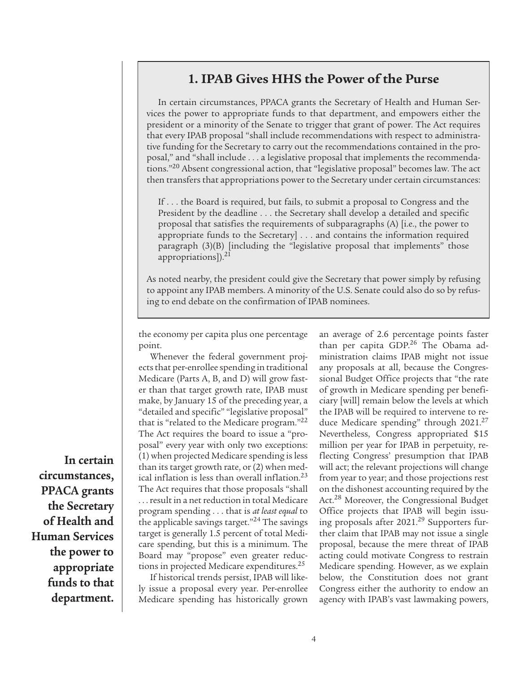# **1. IPAB Gives HHS the Power of the Purse**

In certain circumstances, PPACA grants the Secretary of Health and Human Services the power to appropriate funds to that department, and empowers either the president or a minority of the Senate to trigger that grant of power. The Act requires that every IPAB proposal "shall include recommendations with respect to administrative funding for the Secretary to carry out the recommendations contained in the proposal," and "shall include . . . a legislative proposal that implements the recommendations."<sup>20</sup> Absent congressional action, that "legislative proposal" becomes law. The act then transfers that appropriations power to the Secretary under certain circumstances:

If . . . the Board is required, but fails, to submit a proposal to Congress and the President by the deadline . . . the Secretary shall develop a detailed and specific proposal that satisfies the requirements of subparagraphs (A) [i.e., the power to appropriate funds to the Secretary] . . . and contains the information required paragraph (3)(B) [including the "legislative proposal that implements" those appropriations]).<sup>21</sup>

As noted nearby, the president could give the Secretary that power simply by refusing to appoint any IPAB members. A minority of the U.S. Senate could also do so by refusing to end debate on the confirmation of IPAB nominees.

the economy per capita plus one percentage point.

Whenever the federal government projects that per-enrollee spending in traditional Medicare (Parts A, B, and D) will grow faster than that target growth rate, IPAB must make, by January 15 of the preceding year, a "detailed and specific" "legislative proposal" that is "related to the Medicare program."<sup>22</sup> The Act requires the board to issue a "proposal" every year with only two exceptions: (1) when projected Medicare spending is less than its target growth rate, or (2) when medical inflation is less than overall inflation.23 The Act requires that those proposals "shall . . . result in a net reduction in total Medicare program spending . . . that is *at least equal* to the applicable savings target."<sup>24</sup> The savings target is generally 1.5 percent of total Medicare spending, but this is a minimum. The Board may "propose" even greater reductions in projected Medicare expenditures.<sup>25</sup>

If historical trends persist, IPAB will likely issue a proposal every year. Per-enrollee Medicare spending has historically grown an average of 2.6 percentage points faster than per capita GDP.26 The Obama administration claims IPAB might not issue any proposals at all, because the Congressional Budget Office projects that "the rate of growth in Medicare spending per beneficiary [will] remain below the levels at which the IPAB will be required to intervene to reduce Medicare spending" through  $2021.^{27}$ Nevertheless, Congress appropriated \$15 million per year for IPAB in perpetuity, reflecting Congress' presumption that IPAB will act; the relevant projections will change from year to year; and those projections rest on the dishonest accounting required by the Act.<sup>28</sup> Moreover, the Congressional Budget Office projects that IPAB will begin issuing proposals after 2021.<sup>29</sup> Supporters further claim that IPAB may not issue a single proposal, because the mere threat of IPAB acting could motivate Congress to restrain Medicare spending. However, as we explain below, the Constitution does not grant Congress either the authority to endow an agency with IPAB's vast lawmaking powers,

**In certain circumstances, PPACA grants the Secretary of Health and Human Services the power to appropriate funds to that department.**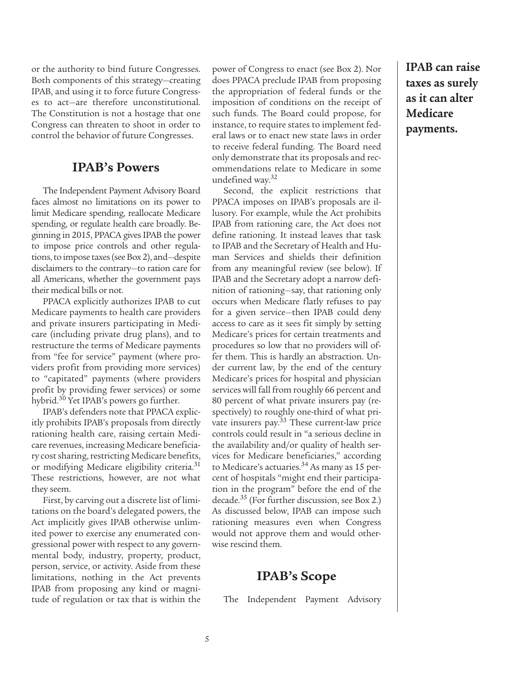or the authority to bind future Congresses. Both components of this strategy—creating IPAB, and using it to force future Congresses to act—are therefore unconstitutional. The Constitution is not a hostage that one Congress can threaten to shoot in order to control the behavior of future Congresses.

### **IPAB's Powers**

The Independent Payment Advisory Board faces almost no limitations on its power to limit Medicare spending, reallocate Medicare spending, or regulate health care broadly. Beginning in 2015, PPACA gives IPAB the power to impose price controls and other regulations, to impose taxes (see Box 2), and—despite disclaimers to the contrary—to ration care for all Americans, whether the government pays their medical bills or not.

PPACA explicitly authorizes IPAB to cut Medicare payments to health care providers and private insurers participating in Medicare (including private drug plans), and to restructure the terms of Medicare payments from "fee for service" payment (where providers profit from providing more services) to "capitated" payments (where providers profit by providing fewer services) or some hybrid.30 Yet IPAB's powers go further.

IPAB's defenders note that PPACA explicitly prohibits IPAB's proposals from directly rationing health care, raising certain Medicare revenues, increasing Medicare beneficiary cost sharing, restricting Medicare benefits, or modifying Medicare eligibility criteria.<sup>31</sup> These restrictions, however, are not what they seem.

First, by carving out a discrete list of limitations on the board's delegated powers, the Act implicitly gives IPAB otherwise unlimited power to exercise any enumerated congressional power with respect to any governmental body, industry, property, product, person, service, or activity. Aside from these limitations, nothing in the Act prevents IPAB from proposing any kind or magnitude of regulation or tax that is within the power of Congress to enact (see Box 2). Nor does PPACA preclude IPAB from proposing the appropriation of federal funds or the imposition of conditions on the receipt of such funds. The Board could propose, for instance, to require states to implement federal laws or to enact new state laws in order to receive federal funding. The Board need only demonstrate that its proposals and recommendations relate to Medicare in some undefined way.32

Second, the explicit restrictions that PPACA imposes on IPAB's proposals are illusory. For example, while the Act prohibits IPAB from rationing care, the Act does not define rationing. It instead leaves that task to IPAB and the Secretary of Health and Human Services and shields their definition from any meaningful review (see below). If IPAB and the Secretary adopt a narrow definition of rationing—say, that rationing only occurs when Medicare flatly refuses to pay for a given service—then IPAB could deny access to care as it sees fit simply by setting Medicare's prices for certain treatments and procedures so low that no providers will offer them. This is hardly an abstraction. Under current law, by the end of the century Medicare's prices for hospital and physician services will fall from roughly 66 percent and 80 percent of what private insurers pay (respectively) to roughly one-third of what private insurers pay.33 These current-law price controls could result in "a serious decline in the availability and/or quality of health services for Medicare beneficiaries," according to Medicare's actuaries.<sup>34</sup> As many as 15 percent of hospitals "might end their participation in the program" before the end of the decade.<sup>35</sup> (For further discussion, see Box 2.) As discussed below, IPAB can impose such rationing measures even when Congress would not approve them and would otherwise rescind them.

# **IPAB's Scope**

The Independent Payment Advisory

**IPAB can raise taxes as surely as it can alter Medicare payments.**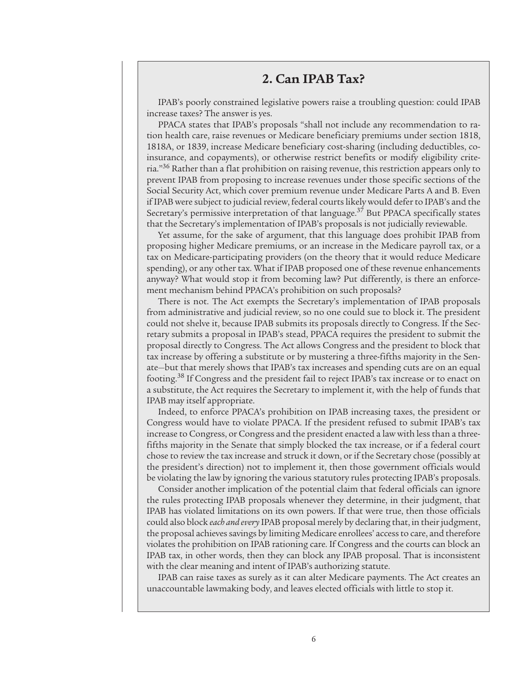### **2. Can IPAB Tax?**

IPAB's poorly constrained legislative powers raise a troubling question: could IPAB increase taxes? The answer is yes.

PPACA states that IPAB's proposals "shall not include any recommendation to ration health care, raise revenues or Medicare beneficiary premiums under section 1818, 1818A, or 1839, increase Medicare beneficiary cost-sharing (including deductibles, coinsurance, and copayments), or otherwise restrict benefits or modify eligibility criteria."36 Rather than a flat prohibition on raising revenue, this restriction appears only to prevent IPAB from proposing to increase revenues under those specific sections of the Social Security Act, which cover premium revenue under Medicare Parts A and B. Even if IPAB were subject to judicial review, federal courts likely would defer to IPAB's and the Secretary's permissive interpretation of that language. $37$  But PPACA specifically states that the Secretary's implementation of IPAB's proposals is not judicially reviewable.

Yet assume, for the sake of argument, that this language does prohibit IPAB from proposing higher Medicare premiums, or an increase in the Medicare payroll tax, or a tax on Medicare-participating providers (on the theory that it would reduce Medicare spending), or any other tax. What if IPAB proposed one of these revenue enhancements anyway? What would stop it from becoming law? Put differently, is there an enforcement mechanism behind PPACA's prohibition on such proposals?

There is not. The Act exempts the Secretary's implementation of IPAB proposals from administrative and judicial review, so no one could sue to block it. The president could not shelve it, because IPAB submits its proposals directly to Congress. If the Secretary submits a proposal in IPAB's stead, PPACA requires the president to submit the proposal directly to Congress. The Act allows Congress and the president to block that tax increase by offering a substitute or by mustering a three-fifths majority in the Senate—but that merely shows that IPAB's tax increases and spending cuts are on an equal footing.38 If Congress and the president fail to reject IPAB's tax increase or to enact on a substitute, the Act requires the Secretary to implement it, with the help of funds that IPAB may itself appropriate.

Indeed, to enforce PPACA's prohibition on IPAB increasing taxes, the president or Congress would have to violate PPACA. If the president refused to submit IPAB's tax increase to Congress, or Congress and the president enacted a law with less than a threefifths majority in the Senate that simply blocked the tax increase, or if a federal court chose to review the tax increase and struck it down, or if the Secretary chose (possibly at the president's direction) not to implement it, then those government officials would be violating the law by ignoring the various statutory rules protecting IPAB's proposals.

Consider another implication of the potential claim that federal officials can ignore the rules protecting IPAB proposals whenever they determine, in their judgment, that IPAB has violated limitations on its own powers. If that were true, then those officials could also block *each and every* IPAB proposal merely by declaring that, in their judgment, the proposal achieves savings by limiting Medicare enrollees' access to care, and therefore violates the prohibition on IPAB rationing care. If Congress and the courts can block an IPAB tax, in other words, then they can block any IPAB proposal. That is inconsistent with the clear meaning and intent of IPAB's authorizing statute.

IPAB can raise taxes as surely as it can alter Medicare payments. The Act creates an unaccountable lawmaking body, and leaves elected officials with little to stop it.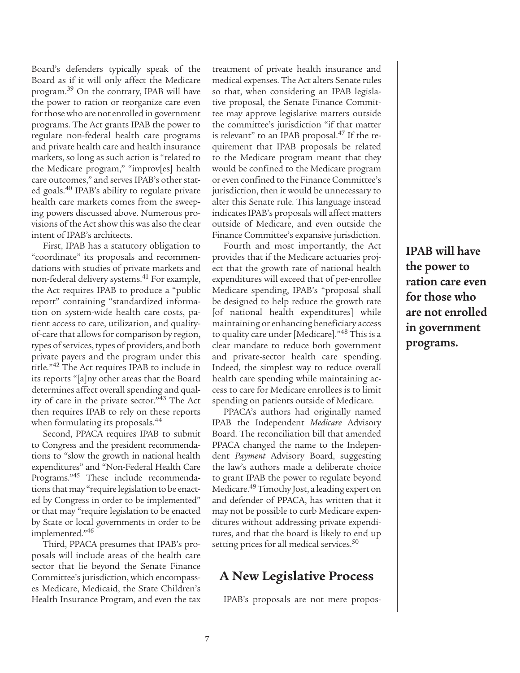Board's defenders typically speak of the Board as if it will only affect the Medicare program.39 On the contrary, IPAB will have the power to ration or reorganize care even for those who are not enrolled in government programs. The Act grants IPAB the power to regulate non-federal health care programs and private health care and health insurance markets, so long as such action is "related to the Medicare program," "improv[es] health care outcomes," and serves IPAB's other stated goals.40 IPAB's ability to regulate private health care markets comes from the sweeping powers discussed above. Numerous provisions of the Act show this was also the clear intent of IPAB's architects.

First, IPAB has a statutory obligation to "coordinate" its proposals and recommendations with studies of private markets and non-federal delivery systems.<sup>41</sup> For example, the Act requires IPAB to produce a "public report" containing "standardized information on system-wide health care costs, patient access to care, utilization, and qualityof-care that allows for comparison by region, types of services, types of providers, and both private payers and the program under this title."42 The Act requires IPAB to include in its reports "[a]ny other areas that the Board determines affect overall spending and quality of care in the private sector."<sup>43</sup> The Act then requires IPAB to rely on these reports when formulating its proposals.<sup>44</sup>

Second, PPACA requires IPAB to submit to Congress and the president recommendations to "slow the growth in national health expenditures" and "Non-Federal Health Care Programs."45 These include recommendations that may "require legislation to be enacted by Congress in order to be implemented" or that may "require legislation to be enacted by State or local governments in order to be implemented."46

Third, PPACA presumes that IPAB's proposals will include areas of the health care sector that lie beyond the Senate Finance Committee's jurisdiction, which encompasses Medicare, Medicaid, the State Children's Health Insurance Program, and even the tax treatment of private health insurance and medical expenses. The Act alters Senate rules so that, when considering an IPAB legislative proposal, the Senate Finance Committee may approve legislative matters outside the committee's jurisdiction "if that matter is relevant" to an IPAB proposal.<sup>47</sup> If the requirement that IPAB proposals be related to the Medicare program meant that they would be confined to the Medicare program or even confined to the Finance Committee's jurisdiction, then it would be unnecessary to alter this Senate rule. This language instead indicates IPAB's proposals will affect matters outside of Medicare, and even outside the Finance Committee's expansive jurisdiction.

Fourth and most importantly, the Act provides that if the Medicare actuaries project that the growth rate of national health expenditures will exceed that of per-enrollee Medicare spending, IPAB's "proposal shall be designed to help reduce the growth rate [of national health expenditures] while maintaining or enhancing beneficiary access to quality care under [Medicare]."48 This is a clear mandate to reduce both government and private-sector health care spending. Indeed, the simplest way to reduce overall health care spending while maintaining access to care for Medicare enrollees is to limit spending on patients outside of Medicare.

PPACA's authors had originally named IPAB the Independent *Medicare* Advisory Board. The reconciliation bill that amended PPACA changed the name to the Independent *Payment* Advisory Board, suggesting the law's authors made a deliberate choice to grant IPAB the power to regulate beyond Medicare.<sup>49</sup> Timothy Jost, a leading expert on and defender of PPACA, has written that it may not be possible to curb Medicare expenditures without addressing private expenditures, and that the board is likely to end up setting prices for all medical services.<sup>50</sup>

# **A New Legislative Process**

IPAB's proposals are not mere propos-

**IPAB will have the power to ration care even for those who are not enrolled in government programs.**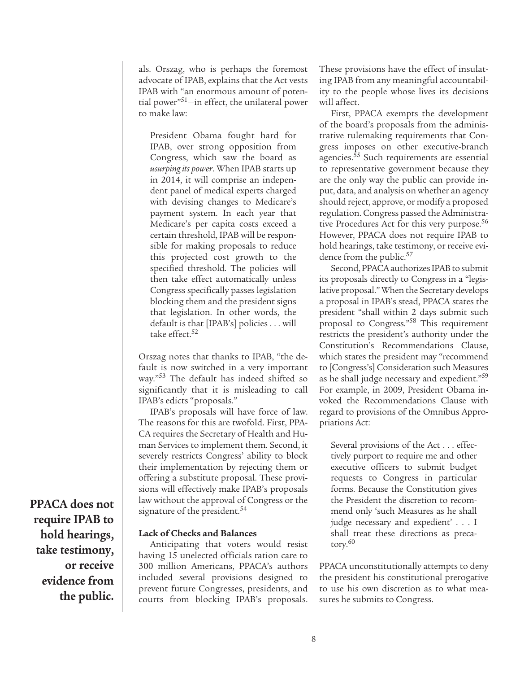als. Orszag, who is perhaps the foremost advocate of IPAB, explains that the Act vests IPAB with "an enormous amount of potential power"51—in effect, the unilateral power to make law:

President Obama fought hard for IPAB, over strong opposition from Congress, which saw the board as *usurping its power*. When IPAB starts up in 2014, it will comprise an independent panel of medical experts charged with devising changes to Medicare's payment system. In each year that Medicare's per capita costs exceed a certain threshold, IPAB will be responsible for making proposals to reduce this projected cost growth to the specified threshold. The policies will then take effect automatically unless Congress specifically passes legislation blocking them and the president signs that legislation. In other words, the default is that [IPAB's] policies . . . will take effect.<sup>52</sup>

Orszag notes that thanks to IPAB, "the default is now switched in a very important way."53 The default has indeed shifted so significantly that it is misleading to call IPAB's edicts "proposals."

IPAB's proposals will have force of law. The reasons for this are twofold. First, PPA-CA requires the Secretary of Health and Human Services to implement them. Second, it severely restricts Congress' ability to block their implementation by rejecting them or offering a substitute proposal. These provisions will effectively make IPAB's proposals law without the approval of Congress or the signature of the president.<sup>54</sup>

#### **Lack of Checks and Balances**

Anticipating that voters would resist having 15 unelected officials ration care to 300 million Americans, PPACA's authors included several provisions designed to prevent future Congresses, presidents, and courts from blocking IPAB's proposals.

These provisions have the effect of insulating IPAB from any meaningful accountability to the people whose lives its decisions will affect.

First, PPACA exempts the development of the board's proposals from the administrative rulemaking requirements that Congress imposes on other executive-branch agencies.<sup>55</sup> Such requirements are essential to representative government because they are the only way the public can provide input, data, and analysis on whether an agency should reject, approve, or modify a proposed regulation. Congress passed the Administrative Procedures Act for this very purpose.<sup>56</sup> However, PPACA does not require IPAB to hold hearings, take testimony, or receive evidence from the public.<sup>57</sup>

Second, PPACA authorizes IPAB to submit its proposals directly to Congress in a "legislative proposal." When the Secretary develops a proposal in IPAB's stead, PPACA states the president "shall within 2 days submit such proposal to Congress."58 This requirement restricts the president's authority under the Constitution's Recommendations Clause, which states the president may "recommend to [Congress's] Consideration such Measures as he shall judge necessary and expedient."<sup>59</sup> For example, in 2009, President Obama invoked the Recommendations Clause with regard to provisions of the Omnibus Appropriations Act:

Several provisions of the Act . . . effectively purport to require me and other executive officers to submit budget requests to Congress in particular forms. Because the Constitution gives the President the discretion to recommend only 'such Measures as he shall judge necessary and expedient' . . . I shall treat these directions as precatory.60

PPACA unconstitutionally attempts to deny the president his constitutional prerogative to use his own discretion as to what measures he submits to Congress.

**PPACA does not require IPAB to hold hearings, take testimony, or receive evidence from the public.**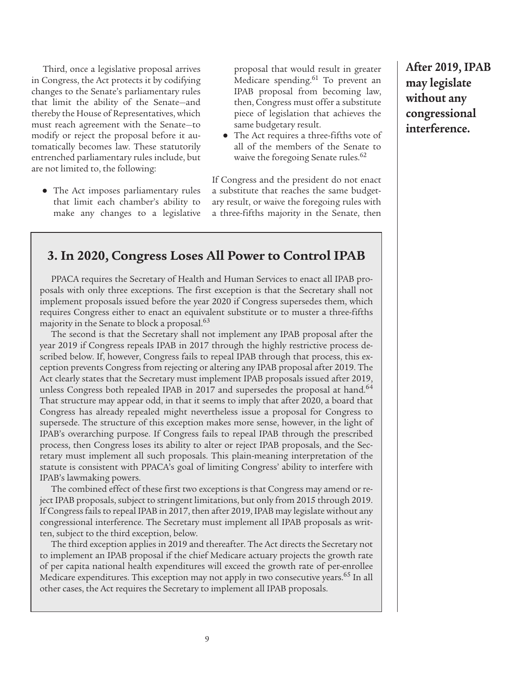Third, once a legislative proposal arrives in Congress, the Act protects it by codifying changes to the Senate's parliamentary rules that limit the ability of the Senate—and thereby the House of Representatives, which must reach agreement with the Senate—to modify or reject the proposal before it automatically becomes law. These statutorily entrenched parliamentary rules include, but are not limited to, the following:

**●** The Act imposes parliamentary rules that limit each chamber's ability to make any changes to a legislative

proposal that would result in greater Medicare spending.<sup>61</sup> To prevent an IPAB proposal from becoming law, then, Congress must offer a substitute piece of legislation that achieves the same budgetary result.

**●** The Act requires a three-fifths vote of all of the members of the Senate to waive the foregoing Senate rules.<sup>62</sup>

If Congress and the president do not enact a substitute that reaches the same budgetary result, or waive the foregoing rules with a three-fifths majority in the Senate, then

# **3. In 2020, Congress Loses All Power to Control IPAB**

PPACA requires the Secretary of Health and Human Services to enact all IPAB proposals with only three exceptions. The first exception is that the Secretary shall not implement proposals issued before the year 2020 if Congress supersedes them, which requires Congress either to enact an equivalent substitute or to muster a three-fifths majority in the Senate to block a proposal.<sup>63</sup>

The second is that the Secretary shall not implement any IPAB proposal after the year 2019 if Congress repeals IPAB in 2017 through the highly restrictive process described below. If, however, Congress fails to repeal IPAB through that process, this exception prevents Congress from rejecting or altering any IPAB proposal after 2019. The Act clearly states that the Secretary must implement IPAB proposals issued after 2019, unless Congress both repealed IPAB in 2017 and supersedes the proposal at hand.<sup>64</sup> That structure may appear odd, in that it seems to imply that after 2020, a board that Congress has already repealed might nevertheless issue a proposal for Congress to supersede. The structure of this exception makes more sense, however, in the light of IPAB's overarching purpose. If Congress fails to repeal IPAB through the prescribed process, then Congress loses its ability to alter or reject IPAB proposals, and the Secretary must implement all such proposals. This plain-meaning interpretation of the statute is consistent with PPACA's goal of limiting Congress' ability to interfere with IPAB's lawmaking powers.

The combined effect of these first two exceptions is that Congress may amend or reject IPAB proposals, subject to stringent limitations, but only from 2015 through 2019. If Congress fails to repeal IPAB in 2017, then after 2019, IPAB may legislate without any congressional interference. The Secretary must implement all IPAB proposals as written, subject to the third exception, below.

The third exception applies in 2019 and thereafter. The Act directs the Secretary not to implement an IPAB proposal if the chief Medicare actuary projects the growth rate of per capita national health expenditures will exceed the growth rate of per-enrollee Medicare expenditures. This exception may not apply in two consecutive years.<sup>65</sup> In all other cases, the Act requires the Secretary to implement all IPAB proposals.

**After 2019, IPAB may legislate without any congressional interference.**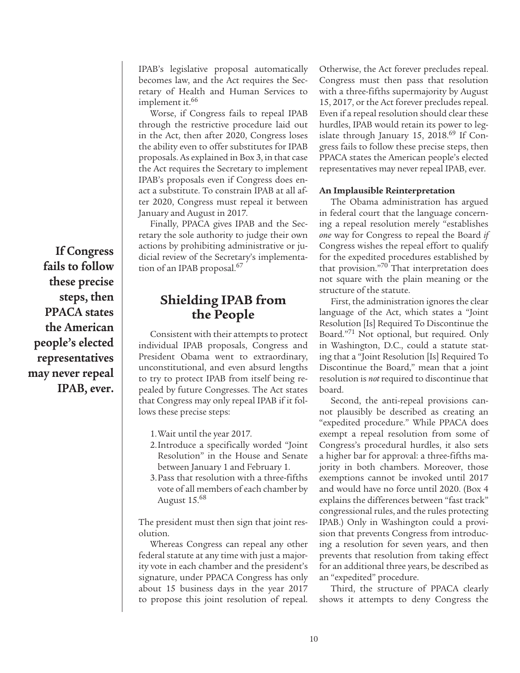IPAB's legislative proposal automatically becomes law, and the Act requires the Secretary of Health and Human Services to implement it.<sup>66</sup>

Worse, if Congress fails to repeal IPAB through the restrictive procedure laid out in the Act, then after 2020, Congress loses the ability even to offer substitutes for IPAB proposals. As explained in Box 3, in that case the Act requires the Secretary to implement IPAB's proposals even if Congress does enact a substitute. To constrain IPAB at all after 2020, Congress must repeal it between January and August in 2017.

Finally, PPACA gives IPAB and the Secretary the sole authority to judge their own actions by prohibiting administrative or judicial review of the Secretary's implementation of an IPAB proposal.<sup>67</sup>

# **Shielding IPAB from the People**

Consistent with their attempts to protect individual IPAB proposals, Congress and President Obama went to extraordinary, unconstitutional, and even absurd lengths to try to protect IPAB from itself being repealed by future Congresses. The Act states that Congress may only repeal IPAB if it follows these precise steps:

- 1.Wait until the year 2017.
- 2.Introduce a specifically worded "Joint Resolution" in the House and Senate between January 1 and February 1.
- 3.Pass that resolution with a three-fifths vote of all members of each chamber by August 15.68

The president must then sign that joint resolution.

Whereas Congress can repeal any other federal statute at any time with just a majority vote in each chamber and the president's signature, under PPACA Congress has only about 15 business days in the year 2017 to propose this joint resolution of repeal. Otherwise, the Act forever precludes repeal. Congress must then pass that resolution with a three-fifths supermajority by August 15, 2017, or the Act forever precludes repeal. Even if a repeal resolution should clear these hurdles, IPAB would retain its power to legislate through January 15, 2018. $^{69}$  If Congress fails to follow these precise steps, then PPACA states the American people's elected representatives may never repeal IPAB, ever.

#### **An Implausible Reinterpretation**

The Obama administration has argued in federal court that the language concerning a repeal resolution merely "establishes *one* way for Congress to repeal the Board *if* Congress wishes the repeal effort to qualify for the expedited procedures established by that provision."<sup>70</sup> That interpretation does not square with the plain meaning or the structure of the statute.

First, the administration ignores the clear language of the Act, which states a "Joint Resolution [Is] Required To Discontinue the Board."<sup>71</sup> Not optional, but required. Only in Washington, D.C., could a statute stating that a "Joint Resolution [Is] Required To Discontinue the Board," mean that a joint resolution is *not* required to discontinue that board.

Second, the anti-repeal provisions cannot plausibly be described as creating an "expedited procedure." While PPACA does exempt a repeal resolution from some of Congress's procedural hurdles, it also sets a higher bar for approval: a three-fifths majority in both chambers. Moreover, those exemptions cannot be invoked until 2017 and would have no force until 2020. (Box 4 explains the differences between "fast track" congressional rules, and the rules protecting IPAB.) Only in Washington could a provision that prevents Congress from introducing a resolution for seven years, and then prevents that resolution from taking effect for an additional three years, be described as an "expedited" procedure.

Third, the structure of PPACA clearly shows it attempts to deny Congress the

**If Congress fails to follow these precise steps, then PPACA states the American people's elected representatives may never repeal IPAB, ever.**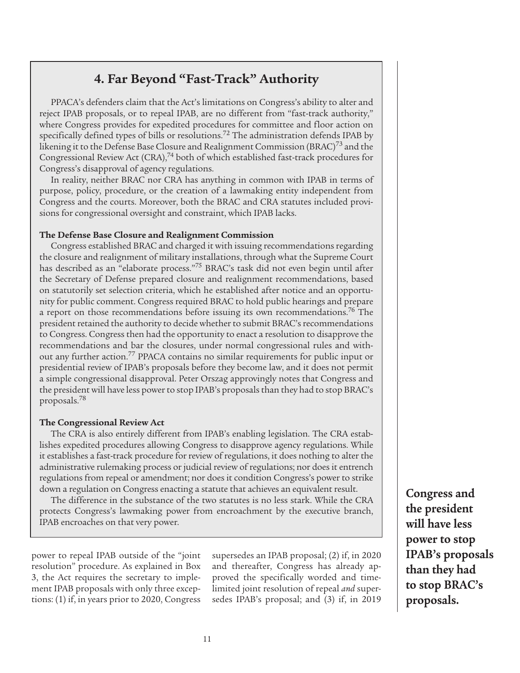# **4. Far Beyond "Fast-Track" Authority**

PPACA's defenders claim that the Act's limitations on Congress's ability to alter and reject IPAB proposals, or to repeal IPAB, are no different from "fast-track authority," where Congress provides for expedited procedures for committee and floor action on specifically defined types of bills or resolutions.<sup>72</sup> The administration defends IPAB by likening it to the Defense Base Closure and Realignment Commission (BRAC)<sup>73</sup> and the Congressional Review Act  $(CRA)$ ,<sup>74</sup> both of which established fast-track procedures for Congress's disapproval of agency regulations.

In reality, neither BRAC nor CRA has anything in common with IPAB in terms of purpose, policy, procedure, or the creation of a lawmaking entity independent from Congress and the courts. Moreover, both the BRAC and CRA statutes included provisions for congressional oversight and constraint, which IPAB lacks.

#### **The Defense Base Closure and Realignment Commission**

Congress established BRAC and charged it with issuing recommendations regarding the closure and realignment of military installations, through what the Supreme Court has described as an "elaborate process."75 BRAC's task did not even begin until after the Secretary of Defense prepared closure and realignment recommendations, based on statutorily set selection criteria, which he established after notice and an opportunity for public comment. Congress required BRAC to hold public hearings and prepare a report on those recommendations before issuing its own recommendations.<sup>76</sup> The president retained the authority to decide whether to submit BRAC's recommendations to Congress. Congress then had the opportunity to enact a resolution to disapprove the recommendations and bar the closures, under normal congressional rules and without any further action.<sup>77</sup> PPACA contains no similar requirements for public input or presidential review of IPAB's proposals before they become law, and it does not permit a simple congressional disapproval. Peter Orszag approvingly notes that Congress and the president will have less power to stop IPAB's proposals than they had to stop BRAC's proposals.78

#### **The Congressional Review Act**

The CRA is also entirely different from IPAB's enabling legislation. The CRA establishes expedited procedures allowing Congress to disapprove agency regulations. While it establishes a fast-track procedure for review of regulations, it does nothing to alter the administrative rulemaking process or judicial review of regulations; nor does it entrench regulations from repeal or amendment; nor does it condition Congress's power to strike down a regulation on Congress enacting a statute that achieves an equivalent result.

The difference in the substance of the two statutes is no less stark. While the CRA protects Congress's lawmaking power from encroachment by the executive branch, IPAB encroaches on that very power.

power to repeal IPAB outside of the "joint resolution" procedure. As explained in Box 3, the Act requires the secretary to implement IPAB proposals with only three exceptions: (1) if, in years prior to 2020, Congress supersedes an IPAB proposal; (2) if, in 2020 and thereafter, Congress has already approved the specifically worded and timelimited joint resolution of repeal *and* supersedes IPAB's proposal; and (3) if, in 2019 **Congress and the president will have less power to stop IPAB's proposals than they had to stop BRAC's proposals.**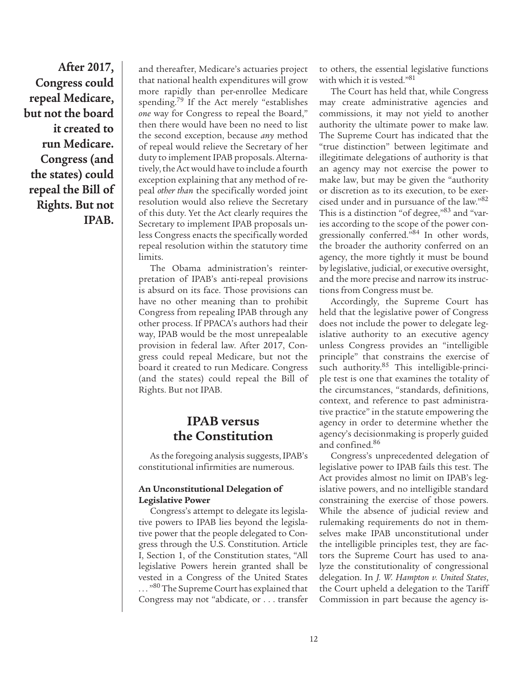**After 2017, Congress could repeal Medicare, but not the board it created to run Medicare. Congress (and the states) could repeal the Bill of Rights. But not IPAB.**

and thereafter, Medicare's actuaries project that national health expenditures will grow more rapidly than per-enrollee Medicare spending.<sup>79</sup> If the Act merely "establishes *one* way for Congress to repeal the Board," then there would have been no need to list the second exception, because *any* method of repeal would relieve the Secretary of her duty to implement IPAB proposals. Alternatively, the Act would have to include a fourth exception explaining that any method of repeal *other than* the specifically worded joint resolution would also relieve the Secretary of this duty. Yet the Act clearly requires the Secretary to implement IPAB proposals unless Congress enacts the specifically worded repeal resolution within the statutory time limits.

The Obama administration's reinterpretation of IPAB's anti-repeal provisions is absurd on its face. Those provisions can have no other meaning than to prohibit Congress from repealing IPAB through any other process. If PPACA's authors had their way, IPAB would be the most unrepealable provision in federal law. After 2017, Congress could repeal Medicare, but not the board it created to run Medicare. Congress (and the states) could repeal the Bill of Rights. But not IPAB.

# **IPAB versus the Constitution**

As the foregoing analysis suggests, IPAB's constitutional infirmities are numerous.

#### **An Unconstitutional Delegation of Legislative Power**

Congress's attempt to delegate its legislative powers to IPAB lies beyond the legislative power that the people delegated to Congress through the U.S. Constitution. Article I, Section 1, of the Constitution states, "All legislative Powers herein granted shall be vested in a Congress of the United States ... "<sup>80</sup> The Supreme Court has explained that Congress may not "abdicate, or . . . transfer

to others, the essential legislative functions with which it is vested."81

The Court has held that, while Congress may create administrative agencies and commissions, it may not yield to another authority the ultimate power to make law. The Supreme Court has indicated that the "true distinction" between legitimate and illegitimate delegations of authority is that an agency may not exercise the power to make law, but may be given the "authority or discretion as to its execution, to be exercised under and in pursuance of the law."82 This is a distinction "of degree,"83 and "varies according to the scope of the power congressionally conferred."84 In other words, the broader the authority conferred on an agency, the more tightly it must be bound by legislative, judicial, or executive oversight, and the more precise and narrow its instructions from Congress must be.

Accordingly, the Supreme Court has held that the legislative power of Congress does not include the power to delegate legislative authority to an executive agency unless Congress provides an "intelligible principle" that constrains the exercise of such authority.<sup>85</sup> This intelligible-principle test is one that examines the totality of the circumstances, "standards, definitions, context, and reference to past administrative practice" in the statute empowering the agency in order to determine whether the agency's decisionmaking is properly guided and confined.86

Congress's unprecedented delegation of legislative power to IPAB fails this test. The Act provides almost no limit on IPAB's legislative powers, and no intelligible standard constraining the exercise of those powers. While the absence of judicial review and rulemaking requirements do not in themselves make IPAB unconstitutional under the intelligible principles test, they are factors the Supreme Court has used to analyze the constitutionality of congressional delegation. In *J. W. Hampton v. United States*, the Court upheld a delegation to the Tariff Commission in part because the agency is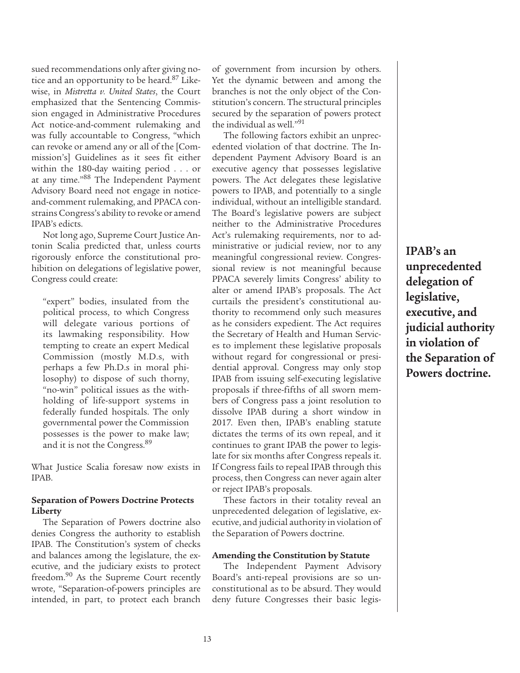sued recommendations only after giving notice and an opportunity to be heard.87 Likewise, in *Mistretta v. United States*, the Court emphasized that the Sentencing Commission engaged in Administrative Procedures Act notice-and-comment rulemaking and was fully accountable to Congress, "which can revoke or amend any or all of the [Commission's] Guidelines as it sees fit either within the 180-day waiting period . . . or at any time."88 The Independent Payment Advisory Board need not engage in noticeand-comment rulemaking, and PPACA constrains Congress's ability to revoke or amend IPAB's edicts.

Not long ago, Supreme Court Justice Antonin Scalia predicted that, unless courts rigorously enforce the constitutional prohibition on delegations of legislative power, Congress could create:

"expert" bodies, insulated from the political process, to which Congress will delegate various portions of its lawmaking responsibility. How tempting to create an expert Medical Commission (mostly M.D.s, with perhaps a few Ph.D.s in moral philosophy) to dispose of such thorny, "no-win" political issues as the withholding of life-support systems in federally funded hospitals. The only governmental power the Commission possesses is the power to make law; and it is not the Congress.<sup>89</sup>

What Justice Scalia foresaw now exists in IPAB.

#### **Separation of Powers Doctrine Protects Liberty**

The Separation of Powers doctrine also denies Congress the authority to establish IPAB. The Constitution's system of checks and balances among the legislature, the executive, and the judiciary exists to protect freedom.<sup>90</sup> As the Supreme Court recently wrote, "Separation-of-powers principles are intended, in part, to protect each branch of government from incursion by others. Yet the dynamic between and among the branches is not the only object of the Constitution's concern. The structural principles secured by the separation of powers protect the individual as well."91

The following factors exhibit an unprecedented violation of that doctrine. The Independent Payment Advisory Board is an executive agency that possesses legislative powers. The Act delegates these legislative powers to IPAB, and potentially to a single individual, without an intelligible standard. The Board's legislative powers are subject neither to the Administrative Procedures Act's rulemaking requirements, nor to administrative or judicial review, nor to any meaningful congressional review. Congressional review is not meaningful because PPACA severely limits Congress' ability to alter or amend IPAB's proposals. The Act curtails the president's constitutional authority to recommend only such measures as he considers expedient. The Act requires the Secretary of Health and Human Services to implement these legislative proposals without regard for congressional or presidential approval. Congress may only stop IPAB from issuing self-executing legislative proposals if three-fifths of all sworn members of Congress pass a joint resolution to dissolve IPAB during a short window in 2017. Even then, IPAB's enabling statute dictates the terms of its own repeal, and it continues to grant IPAB the power to legislate for six months after Congress repeals it. If Congress fails to repeal IPAB through this process, then Congress can never again alter or reject IPAB's proposals.

These factors in their totality reveal an unprecedented delegation of legislative, executive, and judicial authority in violation of the Separation of Powers doctrine.

#### **Amending the Constitution by Statute**

The Independent Payment Advisory Board's anti-repeal provisions are so unconstitutional as to be absurd. They would deny future Congresses their basic legis**IPAB's an unprecedented delegation of legislative, executive, and judicial authority in violation of the Separation of Powers doctrine.**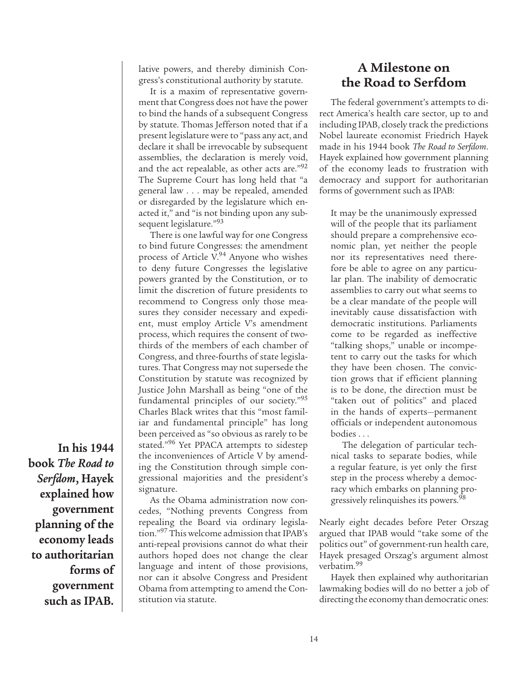lative powers, and thereby diminish Congress's constitutional authority by statute.

It is a maxim of representative government that Congress does not have the power to bind the hands of a subsequent Congress by statute. Thomas Jefferson noted that if a present legislature were to "pass any act, and declare it shall be irrevocable by subsequent assemblies, the declaration is merely void, and the act repealable, as other acts are."92 The Supreme Court has long held that "a general law . . . may be repealed, amended or disregarded by the legislature which enacted it," and "is not binding upon any subsequent legislature."93

There is one lawful way for one Congress to bind future Congresses: the amendment process of Article V.<sup>94</sup> Anyone who wishes to deny future Congresses the legislative powers granted by the Constitution, or to limit the discretion of future presidents to recommend to Congress only those measures they consider necessary and expedient, must employ Article V's amendment process, which requires the consent of twothirds of the members of each chamber of Congress, and three-fourths of state legislatures. That Congress may not supersede the Constitution by statute was recognized by Justice John Marshall as being "one of the fundamental principles of our society."95 Charles Black writes that this "most familiar and fundamental principle" has long been perceived as "so obvious as rarely to be stated."<sup>96</sup> Yet PPACA attempts to sidestep the inconveniences of Article V by amending the Constitution through simple congressional majorities and the president's signature.

As the Obama administration now concedes, "Nothing prevents Congress from repealing the Board via ordinary legislation."97 This welcome admission that IPAB's anti-repeal provisions cannot do what their authors hoped does not change the clear language and intent of those provisions, nor can it absolve Congress and President Obama from attempting to amend the Constitution via statute.

# **A Milestone on the Road to Serfdom**

The federal government's attempts to direct America's health care sector, up to and including IPAB, closely track the predictions Nobel laureate economist Friedrich Hayek made in his 1944 book *The Road to Serfdom*. Hayek explained how government planning of the economy leads to frustration with democracy and support for authoritarian forms of government such as IPAB:

It may be the unanimously expressed will of the people that its parliament should prepare a comprehensive economic plan, yet neither the people nor its representatives need therefore be able to agree on any particular plan. The inability of democratic assemblies to carry out what seems to be a clear mandate of the people will inevitably cause dissatisfaction with democratic institutions. Parliaments come to be regarded as ineffective "talking shops," unable or incompetent to carry out the tasks for which they have been chosen. The conviction grows that if efficient planning is to be done, the direction must be "taken out of politics" and placed in the hands of experts—permanent officials or independent autonomous bodies . . .

The delegation of particular technical tasks to separate bodies, while a regular feature, is yet only the first step in the process whereby a democracy which embarks on planning progressively relinquishes its powers.<sup>98</sup>

Nearly eight decades before Peter Orszag argued that IPAB would "take some of the politics out" of government-run health care, Hayek presaged Orszag's argument almost verbatim.99

Hayek then explained why authoritarian lawmaking bodies will do no better a job of directing the economy than democratic ones:

**In his 1944 book** *The Road to Serfdom***, Hayek explained how government planning of the economy leads to authoritarian forms of government such as IPAB.**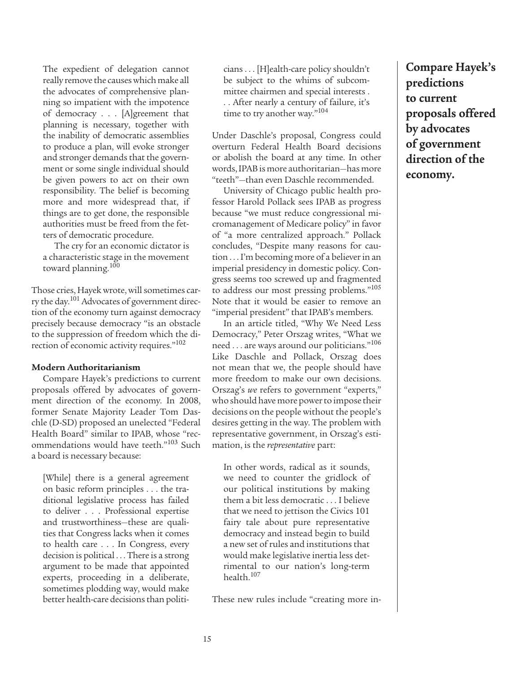The expedient of delegation cannot really remove the causes which make all the advocates of comprehensive planning so impatient with the impotence of democracy . . . [A]greement that planning is necessary, together with the inability of democratic assemblies to produce a plan, will evoke stronger and stronger demands that the government or some single individual should be given powers to act on their own responsibility. The belief is becoming more and more widespread that, if things are to get done, the responsible authorities must be freed from the fetters of democratic procedure.

The cry for an economic dictator is a characteristic stage in the movement toward planning.100

Those cries, Hayek wrote, will sometimes carry the day.<sup>101</sup> Advocates of government direction of the economy turn against democracy precisely because democracy "is an obstacle to the suppression of freedom which the direction of economic activity requires."102

#### **Modern Authoritarianism**

Compare Hayek's predictions to current proposals offered by advocates of government direction of the economy. In 2008, former Senate Majority Leader Tom Daschle (D-SD) proposed an unelected "Federal Health Board" similar to IPAB, whose "recommendations would have teeth."103 Such a board is necessary because:

[While] there is a general agreement on basic reform principles . . . the traditional legislative process has failed to deliver . . . Professional expertise and trustworthiness—these are qualities that Congress lacks when it comes to health care . . . In Congress, every decision is political . . . There is a strong argument to be made that appointed experts, proceeding in a deliberate, sometimes plodding way, would make better health-care decisions than politicians . . . [H]ealth-care policy shouldn't be subject to the whims of subcommittee chairmen and special interests . . . After nearly a century of failure, it's time to try another way."104

Under Daschle's proposal, Congress could overturn Federal Health Board decisions or abolish the board at any time. In other words, IPAB is more authoritarian—has more "teeth"—than even Daschle recommended.

University of Chicago public health professor Harold Pollack sees IPAB as progress because "we must reduce congressional micromanagement of Medicare policy" in favor of "a more centralized approach." Pollack concludes, "Despite many reasons for caution . . . I'm becoming more of a believer in an imperial presidency in domestic policy. Congress seems too screwed up and fragmented to address our most pressing problems."105 Note that it would be easier to remove an "imperial president" that IPAB's members.

In an article titled, "Why We Need Less Democracy," Peter Orszag writes, "What we need . . . are ways around our politicians."106 Like Daschle and Pollack, Orszag does not mean that we, the people should have more freedom to make our own decisions. Orszag's *we* refers to government "experts," who should have more power to impose their decisions on the people without the people's desires getting in the way. The problem with representative government, in Orszag's estimation, is the *representative* part:

In other words, radical as it sounds, we need to counter the gridlock of our political institutions by making them a bit less democratic . . . I believe that we need to jettison the Civics 101 fairy tale about pure representative democracy and instead begin to build a new set of rules and institutions that would make legislative inertia less detrimental to our nation's long-term health.107

These new rules include "creating more in-

**Compare Hayek's predictions to current proposals offered by advocates of government direction of the economy.**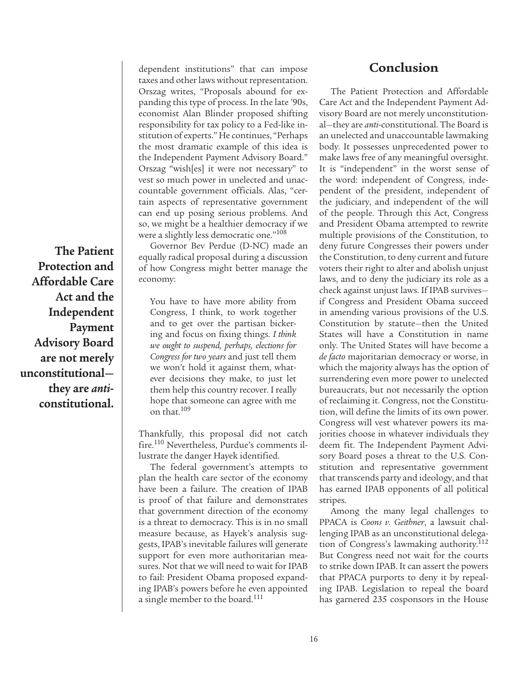**The Patient Protection and Affordable Care Act and the Independent Payment Advisory Board are not merely unconstitutional they are** *anti***constitutional.**

dependent institutions" that can impose taxes and other laws without representation. Orszag writes, "Proposals abound for expanding this type of process. In the late '90s, economist Alan Blinder proposed shifting responsibility for tax policy to a Fed-like institution of experts." He continues, "Perhaps the most dramatic example of this idea is the Independent Payment Advisory Board." Orszag "wish[es] it were not necessary" to vest so much power in unelected and unaccountable government officials. Alas, "certain aspects of representative government can end up posing serious problems. And so, we might be a healthier democracy if we were a slightly less democratic one."<sup>108</sup>

Governor Bev Perdue (D-NC) made an equally radical proposal during a discussion of how Congress might better manage the economy:

You have to have more ability from Congress, I think, to work together and to get over the partisan bickering and focus on fixing things. *I think we ought to suspend, perhaps, elections for Congress for two years* and just tell them we won't hold it against them, whatever decisions they make, to just let them help this country recover. I really hope that someone can agree with me on that.109

Thankfully, this proposal did not catch fire.110 Nevertheless, Purdue's comments illustrate the danger Hayek identified.

The federal government's attempts to plan the health care sector of the economy have been a failure. The creation of IPAB is proof of that failure and demonstrates that government direction of the economy is a threat to democracy. This is in no small measure because, as Hayek's analysis suggests, IPAB's inevitable failures will generate support for even more authoritarian measures. Not that we will need to wait for IPAB to fail: President Obama proposed expanding IPAB's powers before he even appointed a single member to the board.<sup>111</sup>

# **Conclusion**

The Patient Protection and Affordable Care Act and the Independent Payment Advisory Board are not merely unconstitutional—they are *anti*-constitutional. The Board is an unelected and unaccountable lawmaking body. It possesses unprecedented power to make laws free of any meaningful oversight. It is "independent" in the worst sense of the word: independent of Congress, independent of the president, independent of the judiciary, and independent of the will of the people. Through this Act, Congress and President Obama attempted to rewrite multiple provisions of the Constitution, to deny future Congresses their powers under the Constitution, to deny current and future voters their right to alter and abolish unjust laws, and to deny the judiciary its role as a check against unjust laws. If IPAB survives if Congress and President Obama succeed in amending various provisions of the U.S. Constitution by statute—then the United States will have a Constitution in name only. The United States will have become a *de facto* majoritarian democracy or worse, in which the majority always has the option of surrendering even more power to unelected bureaucrats, but not necessarily the option of reclaiming it. Congress, not the Constitution, will define the limits of its own power. Congress will vest whatever powers its majorities choose in whatever individuals they deem fit. The Independent Payment Advisory Board poses a threat to the U.S. Constitution and representative government that transcends party and ideology, and that has earned IPAB opponents of all political stripes.

Among the many legal challenges to PPACA is *Coons v. Geithner*, a lawsuit challenging IPAB as an unconstitutional delegation of Congress's lawmaking authority.<sup>112</sup> But Congress need not wait for the courts to strike down IPAB. It can assert the powers that PPACA purports to deny it by repealing IPAB. Legislation to repeal the board has garnered 235 cosponsors in the House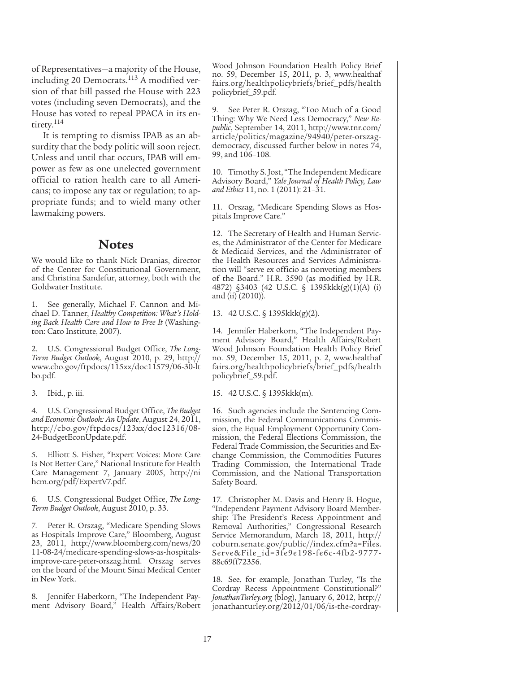of Representatives—a majority of the House, including 20 Democrats.<sup>113</sup> A modified version of that bill passed the House with 223 votes (including seven Democrats), and the House has voted to repeal PPACA in its entirety.<sup>114</sup>

It is tempting to dismiss IPAB as an absurdity that the body politic will soon reject. Unless and until that occurs, IPAB will empower as few as one unelected government official to ration health care to all Americans; to impose any tax or regulation; to appropriate funds; and to wield many other lawmaking powers.

### **Notes**

We would like to thank Nick Dranias, director of the Center for Constitutional Government, and Christina Sandefur, attorney, both with the Goldwater Institute.

1. See generally, Michael F. Cannon and Michael D. Tanner, *Healthy Competition: What's Holding Back Health Care and How to Free It* (Washington: Cato Institute, 2007).

U.S. Congressional Budget Office, *The Long-Term Budget Outlook*, August 2010, p. 29, http:// www.cbo.gov/ftpdocs/115xx/doc11579/06-30-lt bo.pdf.

3. Ibid., p. iii.

4. U.S. Congressional Budget Office, *The Budget and Economic Outlook: An Update*, August 24, 2011, http://cbo.gov/ftpdocs/123xx/doc12316/08- 24-BudgetEconUpdate.pdf.

5. Elliott S. Fisher, "Expert Voices: More Care Is Not Better Care," National Institute for Health Care Management 7, January 2005, http://ni hcm.org/pdf/ExpertV7.pdf.

6. U.S. Congressional Budget Office, *The Long-Term Budget Outlook*, August 2010, p. 33.

7. Peter R. Orszag, "Medicare Spending Slows as Hospitals Improve Care," Bloomberg, August 23, 2011, http://www.bloomberg.com/news/20 11-08-24/medicare-spending-slows-as-hospitalsimprove-care-peter-orszag.html. Orszag serves on the board of the Mount Sinai Medical Center in New York.

8. Jennifer Haberkorn, "The Independent Payment Advisory Board," Health Affairs/Robert Wood Johnson Foundation Health Policy Brief no. 59, December 15, 2011, p. 3, www.healthaf fairs.org/healthpolicybriefs/brief\_pdfs/health policybrief\_59.pdf.

9. See Peter R. Orszag, "Too Much of a Good Thing: Why We Need Less Democracy," *New Republic*, September 14, 2011, http://www.tnr.com/ article/politics/magazine/94940/peter-orszagdemocracy, discussed further below in notes 74, 99, and 106–108.

10. Timothy S. Jost, "The Independent Medicare Advisory Board," *Yale Journal of Health Policy, Law and Ethics* 11, no. 1 (2011): 21–31.

11. Orszag, "Medicare Spending Slows as Hospitals Improve Care."

12. The Secretary of Health and Human Services, the Administrator of the Center for Medicare & Medicaid Services, and the Administrator of the Health Resources and Services Administration will "serve ex officio as nonvoting members of the Board." H.R. 3590 (as modified by H.R. 4872) §3403 (42 U.S.C. § 1395kkk(g)(1)(A) (i) and (ii) (2010)).

13. 42 U.S.C. § 1395kkk(g)(2).

14. Jennifer Haberkorn, "The Independent Payment Advisory Board," Health Affairs/Robert Wood Johnson Foundation Health Policy Brief no. 59, December 15, 2011, p. 2, www.healthaf fairs.org/healthpolicybriefs/brief\_pdfs/health policybrief\_59.pdf.

15. 42 U.S.C. § 1395kkk(m).

16. Such agencies include the Sentencing Commission, the Federal Communications Commission, the Equal Employment Opportunity Commission, the Federal Elections Commission, the Federal Trade Commission, the Securities and Exchange Commission, the Commodities Futures Trading Commission, the International Trade Commission, and the National Transportation Safety Board.

17. Christopher M. Davis and Henry B. Hogue, "Independent Payment Advisory Board Membership: The President's Recess Appointment and Removal Authorities," Congressional Research Service Memorandum, March 18, 2011, http:// coburn.senate.gov/public//index.cfm?a=Files. Serve&File\_id=3fe9e198-fe6c-4fb2-9777- 88c69ff72356.

18. See, for example, Jonathan Turley, "Is the Cordray Recess Appointment Constitutional?" *JonathanTurley.org* (blog), January 6, 2012, http:// jonathanturley.org/2012/01/06/is-the-cordray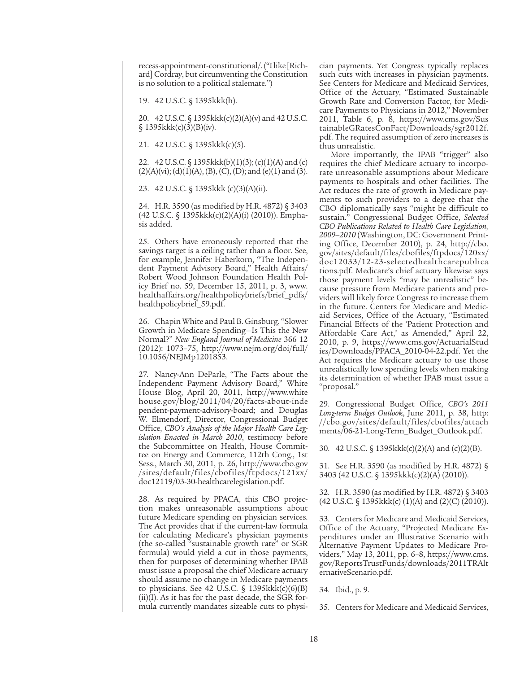recess-appointment-constitutional/. ("I like [Richard] Cordray, but circumventing the Constitution is no solution to a political stalemate.")

19. 42 U.S.C. § 1395kkk(h).

20. 42 U.S.C. § 1395kkk(c)(2)(A)(v) and 42 U.S.C.  $$1395kkk(c)(3)(B)(iv).$ 

21. 42 U.S.C. § 1395kkk(c)(5).

22. 42 U.S.C. § 1395kkk(b)(1)(3); (c)(1)(A) and (c)  $(2)(A)(vi)$ ; (d) $(1)(A)$ , (B), (C), (D); and (e) $(1)$  and (3).

23. 42 U.S.C. § 1395kkk (c)(3)(A)(ii).

24. H.R. 3590 (as modified by H.R. 4872) § 3403 (42 U.S.C. § 1395kkk(c)(2)(A)(i) (2010)). Emphasis added.

25. Others have erroneously reported that the savings target is a ceiling rather than a floor. See, for example, Jennifer Haberkorn, "The Independent Payment Advisory Board," Health Affairs/ Robert Wood Johnson Foundation Health Policy Brief no. 59, December 15, 2011, p. 3, www. healthaffairs.org/healthpolicybriefs/brief\_pdfs/ healthpolicybrief\_59.pdf.

26. Chapin White and Paul B. Ginsburg, "Slower Growth in Medicare Spending—Is This the New Normal?" *New England Journal of Medicine* 366 12 (2012): 1073–75, http://www.nejm.org/doi/full/ 10.1056/NEJMp1201853.

27. Nancy-Ann DeParle, "The Facts about the Independent Payment Advisory Board," White House Blog, April 20, 2011, http://www.white house.gov/blog/2011/04/20/facts-about-inde pendent-payment-advisory-board; and Douglas W. Elmendorf, Director, Congressional Budget Office, *CBO's Analysis of the Major Health Care Legislation Enacted in March 2010*, testimony before the Subcommittee on Health, House Committee on Energy and Commerce, 112th Cong., 1st Sess., March 30, 2011, p. 26, http://www.cbo.gov /sites/default/files/cbofiles/ftpdocs/121xx/ doc12119/03-30-healthcarelegislation.pdf.

28. As required by PPACA, this CBO projection makes unreasonable assumptions about future Medicare spending on physician services. The Act provides that if the current-law formula for calculating Medicare's physician payments (the so-called "sustainable growth rate" or SGR formula) would yield a cut in those payments, then for purposes of determining whether IPAB must issue a proposal the chief Medicare actuary should assume no change in Medicare payments to physicians. See 42 U.S.C. §  $1395$ kkk(c)(6)(B)  $(ii)(I)$ . As it has for the past decade, the SGR formula currently mandates sizeable cuts to physician payments. Yet Congress typically replaces such cuts with increases in physician payments. See Centers for Medicare and Medicaid Services, Office of the Actuary, "Estimated Sustainable Growth Rate and Conversion Factor, for Medicare Payments to Physicians in 2012," November 2011, Table 6, p. 8, https://www.cms.gov/Sus tainableGRatesConFact/Downloads/sgr2012f. pdf. The required assumption of zero increases is thus unrealistic.

More importantly, the IPAB "trigger" also requires the chief Medicare actuary to incorporate unreasonable assumptions about Medicare payments to hospitals and other facilities. The Act reduces the rate of growth in Medicare payments to such providers to a degree that the CBO diplomatically says "might be difficult to sustain." Congressional Budget Office, *Selected CBO Publications Related to Health Care Legislation, 2009–2010* (Washington, DC: Government Printing Office, December 2010), p. 24, http://cbo. gov/sites/default/files/cbofiles/ftpdocs/120xx/ doc12033/12-23-selectedhealthcarepublica tions.pdf. Medicare's chief actuary likewise says those payment levels "may be unrealistic" because pressure from Medicare patients and providers will likely force Congress to increase them in the future. Centers for Medicare and Medicaid Services, Office of the Actuary, "Estimated Financial Effects of the 'Patient Protection and Affordable Care Act,' as Amended," April 22, 2010, p. 9, https://www.cms.gov/ActuarialStud ies/Downloads/PPACA\_2010-04-22.pdf. Yet the Act requires the Medicare actuary to use those unrealistically low spending levels when making its determination of whether IPAB must issue a "proposal."

29. Congressional Budget Office, *CBO's 2011 Long-term Budget Outlook*, June 2011, p. 38, http: //cbo.gov/sites/default/files/cbofiles/attach ments/06-21-Long-Term\_Budget\_Outlook.pdf.

30. 42 U.S.C. § 1395kkk(c)(2)(A) and (c)(2)(B).

31. See H.R. 3590 (as modified by H.R. 4872) § 3403 (42 U.S.C. § 1395kkk(c)(2)(A) (2010)).

32. H.R. 3590 (as modified by H.R. 4872) § 3403  $(42 \text{ U.S.C. } \S$  1395kkk $(c)$   $(1)(A)$  and  $(2)(C)$   $(2010)$ ).

33. Centers for Medicare and Medicaid Services, Office of the Actuary, "Projected Medicare Expenditures under an Illustrative Scenario with Alternative Payment Updates to Medicare Providers," May 13, 2011, pp. 6–8, https://www.cms. gov/ReportsTrustFunds/downloads/2011TRAlt ernativeScenario.pdf.

34. Ibid., p. 9.

<sup>35.</sup> Centers for Medicare and Medicaid Services,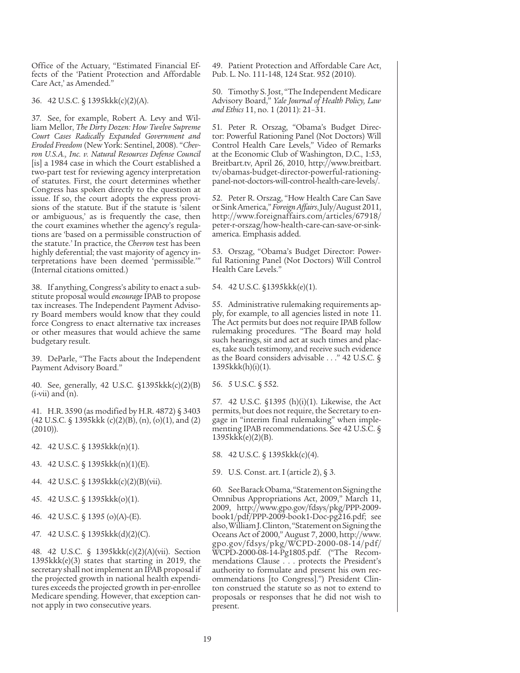Office of the Actuary, "Estimated Financial Effects of the 'Patient Protection and Affordable Care Act,' as Amended."

36. 42 U.S.C. § 1395kkk(c)(2)(A).

37. See, for example, Robert A. Levy and William Mellor, *The Dirty Dozen: How Twelve Supreme Court Cases Radically Expanded Government and Eroded Freedom* (New York: Sentinel, 2008). "*Chevron U.S.A., Inc. v. Natural Resources Defense Council*  [is] a 1984 case in which the Court established a two-part test for reviewing agency interpretation of statutes. First, the court determines whether Congress has spoken directly to the question at issue. If so, the court adopts the express provisions of the statute. But if the statute is 'silent or ambiguous,' as is frequently the case, then the court examines whether the agency's regulations are 'based on a permissible construction of the statute.' In practice, the *Chevron* test has been highly deferential; the vast majority of agency interpretations have been deemed 'permissible.'" (Internal citations omitted.)

38. If anything, Congress's ability to enact a substitute proposal would *encourage* IPAB to propose tax increases. The Independent Payment Advisory Board members would know that they could force Congress to enact alternative tax increases or other measures that would achieve the same budgetary result.

39. DeParle, "The Facts about the Independent Payment Advisory Board."

40. See, generally, 42 U.S.C. §1395kkk(c)(2)(B)  $(i-vii)$  and  $(n)$ .

41. H.R. 3590 (as modified by H.R. 4872) § 3403 (42 U.S.C. § 1395kkk (c)(2)(B), (n), (o)(1), and (2) (2010)).

42. 42 U.S.C. § 1395kkk(n)(1).

43. 42 U.S.C. § 1395kkk(n)(1)(E).

- 44. 42 U.S.C. § 1395kkk(c)(2)(B)(vii).
- 45. 42 U.S.C. § 1395kkk(o)(1).
- 46. 42 U.S.C. § 1395 (o)(A)-(E).

47. 42 U.S.C. § 1395kkk(d)(2)(C).

48. 42 U.S.C. § 1395kkk(c)(2)(A)(vii). Section 1395kkk(e)(3) states that starting in 2019, the secretary shall not implement an IPAB proposal if the projected growth in national health expenditures exceeds the projected growth in per-enrollee Medicare spending. However, that exception cannot apply in two consecutive years.

49. Patient Protection and Affordable Care Act, Pub. L. No. 111-148, 124 Stat. 952 (2010).

50. Timothy S. Jost, "The Independent Medicare Advisory Board," *Yale Journal of Health Policy, Law and Ethics* 11, no. 1 (2011): 21–31.

51. Peter R. Orszag, "Obama's Budget Director: Powerful Rationing Panel (Not Doctors) Will Control Health Care Levels," Video of Remarks at the Economic Club of Washington, D.C., 1:53, Breitbart.tv, April 26, 2010, http://www.breitbart. tv/obamas-budget-director-powerful-rationingpanel-not-doctors-will-control-health-care-levels/.

52. Peter R. Orszag, "How Health Care Can Save or Sink America," *Foreign Affairs*, July/August 2011, http://www.foreignaffairs.com/articles/67918/ peter-r-orszag/how-health-care-can-save-or-sinkamerica. Emphasis added.

53. Orszag, "Obama's Budget Director: Powerful Rationing Panel (Not Doctors) Will Control Health Care Levels."

54. 42 U.S.C. §1395kkk(e)(1).

55. Administrative rulemaking requirements apply, for example, to all agencies listed in note 11. The Act permits but does not require IPAB follow rulemaking procedures. "The Board may hold such hearings, sit and act at such times and places, take such testimony, and receive such evidence as the Board considers advisable . . ." 42 U.S.C. § 1395kkk(h)(i)(1).

56. 5 U.S.C. § 552.

57. 42 U.S.C. §1395 (h)(i)(1). Likewise, the Act permits, but does not require, the Secretary to engage in "interim final rulemaking" when implementing IPAB recommendations. See 42 U.S.C. § 1395kkk(e)(2)(B).

58. 42 U.S.C. § 1395kkk(c)(4).

59. U.S. Const. art. I (article 2), § 3.

60. See Barack Obama, "Statement on Signing the Omnibus Appropriations Act, 2009," March 11, 2009, http://www.gpo.gov/fdsys/pkg/PPP-2009 book1/pdf/PPP-2009-book1-Doc-pg216.pdf; see also, William J. Clinton, "Statement on Signing the Oceans Act of 2000," August 7, 2000, http://www. gpo.gov/fdsys/pkg/WCPD-2000-08-14/pdf/ WCPD-2000-08-14-Pg1805.pdf. ("The Recommendations Clause . . . protects the President's authority to formulate and present his own recommendations [to Congress].") President Clinton construed the statute so as not to extend to proposals or responses that he did not wish to present.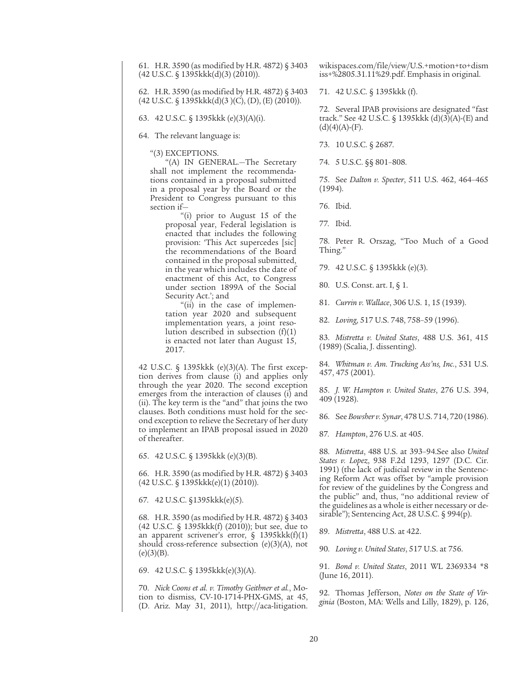61. H.R. 3590 (as modified by H.R. 4872) § 3403 (42 U.S.C. § 1395kkk(d)(3) (2010)).

62. H.R. 3590 (as modified by H.R. 4872) § 3403 (42 U.S.C. § 1395kkk(d)(3 )(C), (D), (E) (2010)).

63. 42 U.S.C. § 1395kkk (e)(3)(A)(i).

64. The relevant language is:

"(3) EXCEPTIONS.

"(A) IN GENERAL.—The Secretary shall not implement the recommendations contained in a proposal submitted in a proposal year by the Board or the President to Congress pursuant to this section if—

> "(i) prior to August 15 of the proposal year, Federal legislation is enacted that includes the following provision: 'This Act supercedes [sic] the recommendations of the Board contained in the proposal submitted, in the year which includes the date of enactment of this Act, to Congress under section 1899A of the Social Security Act.'; and

> "(ii) in the case of implementation year 2020 and subsequent implementation years, a joint resolution described in subsection  $(f)(1)$ is enacted not later than August 15, 2017.

42 U.S.C. § 1395kkk (e)(3)(A). The first exception derives from clause (i) and applies only through the year 2020. The second exception emerges from the interaction of clauses (i) and (ii). The key term is the "and" that joins the two clauses. Both conditions must hold for the second exception to relieve the Secretary of her duty to implement an IPAB proposal issued in 2020 of thereafter.

65. 42 U.S.C. § 1395kkk (e)(3)(B).

66. H.R. 3590 (as modified by H.R. 4872) § 3403 (42 U.S.C. § 1395kkk(e)(1) (2010)).

67. 42 U.S.C. §1395kkk(e)(5).

68. H.R. 3590 (as modified by H.R. 4872) § 3403 (42 U.S.C. § 1395kkk(f) (2010)); but see, due to an apparent scrivener's error,  $\frac{1395k}{k(f)}$ (1) should cross-reference subsection (e)(3)(A), not  $(e)(3)(B).$ 

69. 42 U.S.C. § 1395kkk(e)(3)(A).

70. *Nick Coons et al. v. Timothy Geithner et al.*, Motion to dismiss, CV-10-1714-PHX-GMS, at 45, (D. Ariz. May 31, 2011), http://aca-litigation. wikispaces.com/file/view/U.S.+motion+to+dism iss+%2805.31.11%29.pdf. Emphasis in original.

71. 42 U.S.C. § 1395kkk (f).

72. Several IPAB provisions are designated "fast track." See 42 U.S.C. § 1395kkk (d)(3)(A)-(E) and  $(d)(4)(A)$ - $(F)$ .

73. 10 U.S.C. § 2687.

74. 5 U.S.C. §§ 801–808.

75. See *Dalton v. Specter*, 511 U.S. 462, 464–465 (1994).

76. Ibid.

77. Ibid.

78. Peter R. Orszag, "Too Much of a Good Thing."

79. 42 U.S.C. § 1395kkk (e)(3).

80. U.S. Const. art. I, § 1.

81. *Currin v. Wallace*, 306 U.S. 1, 15 (1939).

82. *Loving*, 517 U.S. 748, 758–59 (1996).

83. *Mistretta v. United States*, 488 U.S. 361, 415 (1989) (Scalia, J. dissenting).

84. *Whitman v. Am. Trucking Ass'ns, Inc.*, 531 U.S. 457, 475 (2001).

85. *J. W. Hampton v. United States*, 276 U.S. 394, 409 (1928).

86. See *Bowsher v. Synar*, 478 U.S. 714, 720 (1986).

87. *Hampton*, 276 U.S. at 405.

88. *Mistretta*, 488 U.S. at 393–94.See also *United States v. Lopez*, 938 F.2d 1293, 1297 (D.C. Cir. 1991) (the lack of judicial review in the Sentencing Reform Act was offset by "ample provision for review of the guidelines by the Congress and the public" and, thus, "no additional review of the guidelines as a whole is either necessary or desirable"); Sentencing Act, 28 U.S.C. § 994(p).

89. *Mistretta*, 488 U.S. at 422.

90. *Loving v. United States*, 517 U.S. at 756.

91. *Bond v. United States*, 2011 WL 2369334 \*8 (June 16, 2011).

92. Thomas Jefferson, *Notes on the State of Virginia* (Boston, MA: Wells and Lilly, 1829), p. 126,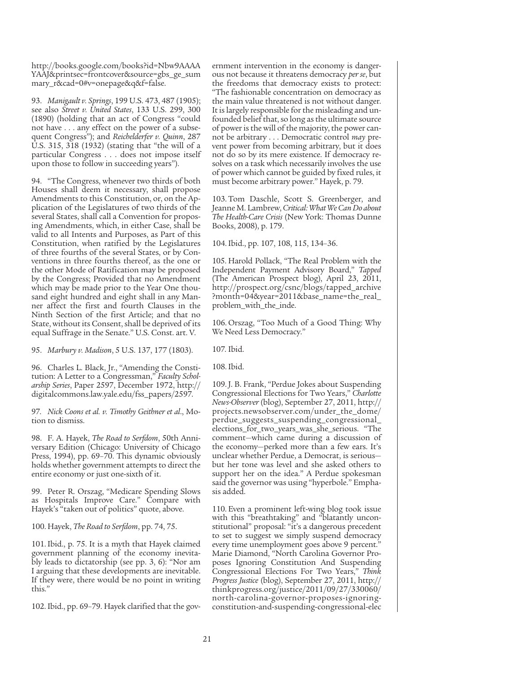http://books.google.com/books?id=Nbw9AAAA YAAJ&printsec=frontcover&source=gbs\_ge\_sum mary\_r&cad=0#v=onepage&q&f=false.

93. *Manigault v. Springs*, 199 U.S. 473, 487 (1905); see also *Street v. United States*, 133 U.S. 299, 300 (1890) (holding that an act of Congress "could not have . . . any effect on the power of a subsequent Congress"); and *Reichelderfer v. Quinn*, 287 U.S. 315, 318 (1932) (stating that "the will of a particular Congress . . . does not impose itself upon those to follow in succeeding years").

94. "The Congress, whenever two thirds of both Houses shall deem it necessary, shall propose Amendments to this Constitution, or, on the Application of the Legislatures of two thirds of the several States, shall call a Convention for proposing Amendments, which, in either Case, shall be valid to all Intents and Purposes, as Part of this Constitution, when ratified by the Legislatures of three fourths of the several States, or by Conventions in three fourths thereof, as the one or the other Mode of Ratification may be proposed by the Congress; Provided that no Amendment which may be made prior to the Year One thousand eight hundred and eight shall in any Manner affect the first and fourth Clauses in the Ninth Section of the first Article; and that no State, without its Consent, shall be deprived of its equal Suffrage in the Senate." U.S. Const. art. V.

95. *Marbury v. Madison*, 5 U.S. 137, 177 (1803).

96. Charles L. Black, Jr., "Amending the Constitution: A Letter to a Congressman," *Faculty Scholarship Series*, Paper 2597, December 1972, http:// digitalcommons.law.yale.edu/fss\_papers/2597.

97. *Nick Coons et al. v. Timothy Geithner et al*., Motion to dismiss.

98. F. A. Hayek, *The Road to Serfdom*, 50th Anniversary Edition (Chicago: University of Chicago Press, 1994), pp. 69–70. This dynamic obviously holds whether government attempts to direct the entire economy or just one-sixth of it.

99. Peter R. Orszag, "Medicare Spending Slows as Hospitals Improve Care." Compare with Hayek's "taken out of politics" quote, above.

100. Hayek, *The Road to Serfdom*, pp. 74, 75.

101. Ibid., p. 75. It is a myth that Hayek claimed government planning of the economy inevitably leads to dictatorship (see pp. 3, 6): "Nor am I arguing that these developments are inevitable. If they were, there would be no point in writing this."

102. Ibid., pp. 69–79. Hayek clarified that the gov-

ernment intervention in the economy is dangerous not because it threatens democracy *per se*, but the freedoms that democracy exists to protect: "The fashionable concentration on democracy as the main value threatened is not without danger. It is largely responsible for the misleading and unfounded belief that, so long as the ultimate source of power is the will of the majority, the power cannot be arbitrary . . . Democratic control *may* prevent power from becoming arbitrary, but it does not do so by its mere existence. If democracy resolves on a task which necessarily involves the use of power which cannot be guided by fixed rules, it must become arbitrary power." Hayek, p. 79.

103. Tom Daschle, Scott S. Greenberger, and Jeanne M. Lambrew, *Critical: What We Can Do about The Health-Care Crisis* (New York: Thomas Dunne Books, 2008), p. 179.

104.Ibid., pp. 107, 108, 115, 134–36.

105. Harold Pollack, "The Real Problem with the Independent Payment Advisory Board," *Tapped* (The American Prospect blog), April 23, 2011, http://prospect.org/csnc/blogs/tapped\_archive ?month=04&year=2011&base\_name=the\_real\_ problem\_with\_the\_inde.

106. Orszag, "Too Much of a Good Thing: Why We Need Less Democracy."

107. Ibid.

108.Ibid.

109. J. B. Frank, "Perdue Jokes about Suspending Congressional Elections for Two Years," *Charlotte News-Observer* (blog), September 27, 2011, http:// projects.newsobserver.com/under\_the\_dome/ perdue\_suggests\_suspending\_congressional\_ elections\_for\_two\_years\_was\_she\_serious. "The comment—which came during a discussion of the economy—perked more than a few ears. It's unclear whether Perdue, a Democrat, is serious but her tone was level and she asked others to support her on the idea." A Perdue spokesman said the governor was using "hyperbole." Emphasis added.

110. Even a prominent left-wing blog took issue with this "breathtaking" and "blatantly unconstitutional" proposal: "it's a dangerous precedent to set to suggest we simply suspend democracy every time unemployment goes above 9 percent." Marie Diamond, "North Carolina Governor Proposes Ignoring Constitution And Suspending Congressional Elections For Two Years," *Think Progress Justice* (blog), September 27, 2011, http:// thinkprogress.org/justice/2011/09/27/330060/ north-carolina-governor-proposes-ignoringconstitution-and-suspending-congressional-elec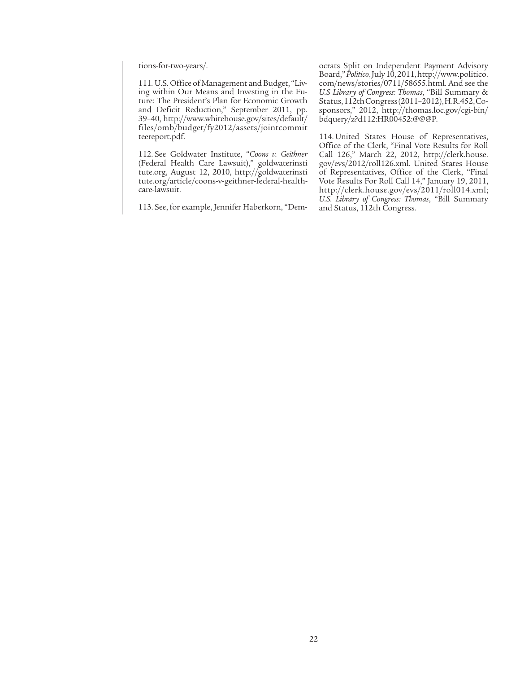tions-for-two-years/.

111. U.S. Office of Management and Budget, "Living within Our Means and Investing in the Future: The President's Plan for Economic Growth and Deficit Reduction," September 2011, pp. 39–40, http://www.whitehouse.gov/sites/default/ files/omb/budget/fy2012/assets/jointcommit teereport.pdf.

112. See Goldwater Institute, "*Coons v. Geithner* (Federal Health Care Lawsuit)," goldwaterinsti tute.org, August 12, 2010, http://goldwaterinsti tute.org/article/coons-v-geithner-federal-healthcare-lawsuit.

113. See, for example, Jennifer Haberkorn, "Dem-

ocrats Split on Independent Payment Advisory Board," *Politico*, July 10, 2011, http://www.politico. com/news/stories/0711/58655.html. And see the *U.S Library of Congress: Thomas*, "Bill Summary & Status, 112th Congress (2011–2012), H.R.452, Cosponsors," 2012, http://thomas.loc.gov/cgi-bin/ bdquery/z?d112:HR00452:@@@P.

114. United States House of Representatives, Office of the Clerk, "Final Vote Results for Roll Call 126," March 22, 2012, http://clerk.house. gov/evs/2012/roll126.xml. United States House of Representatives, Office of the Clerk, "Final Vote Results For Roll Call 14," January 19, 2011, http://clerk.house.gov/evs/2011/roll014.xml; *U.S. Library of Congress: Thomas*, "Bill Summary and Status, 112th Congress.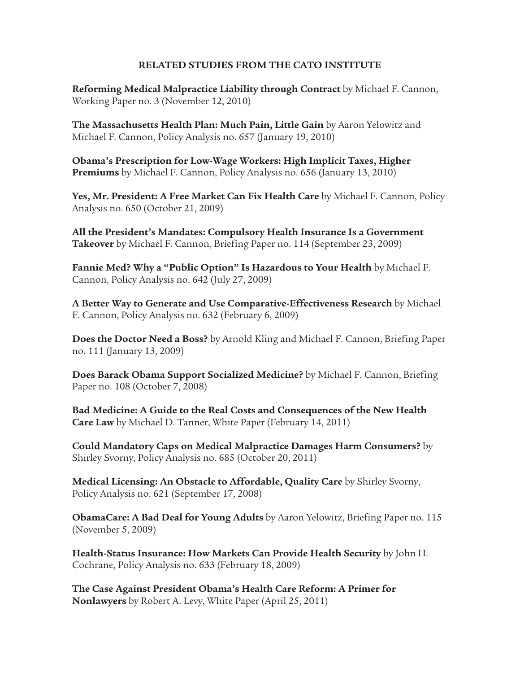### **RELATED STUDIES FROM THE CATO INSTITUTE**

**Reforming Medical Malpractice Liability through Contract** by Michael F. Cannon, Working Paper no. 3 (November 12, 2010)

**The Massachusetts Health Plan: Much Pain, Little Gain** by Aaron Yelowitz and Michael F. Cannon, Policy Analysis no. 657 (January 19, 2010)

**Obama's Prescription for Low-Wage Workers: High Implicit Taxes, Higher Premiums** by Michael F. Cannon, Policy Analysis no. 656 (January 13, 2010)

**Yes, Mr. President: A Free Market Can Fix Health Care** by Michael F. Cannon, Policy Analysis no. 650 (October 21, 2009)

**All the President's Mandates: Compulsory Health Insurance Is a Government Takeover** by Michael F. Cannon, Briefing Paper no. 114 (September 23, 2009)

**Fannie Med? Why a "Public Option" Is Hazardous to Your Health** by Michael F. Cannon, Policy Analysis no. 642 (July 27, 2009)

**A Better Way to Generate and Use Comparative-Effectiveness Research** by Michael F. Cannon, Policy Analysis no. 632 (February 6, 2009)

**Does the Doctor Need a Boss?** by Arnold Kling and Michael F. Cannon, Briefing Paper no. 111 (January 13, 2009)

**Does Barack Obama Support Socialized Medicine?** by Michael F. Cannon, Briefing Paper no. 108 (October 7, 2008)

**Bad Medicine: A Guide to the Real Costs and Consequences of the New Health Care Law** by Michael D. Tanner, White Paper (February 14, 2011)

**Could Mandatory Caps on Medical Malpractice Damages Harm Consumers?** by Shirley Svorny, Policy Analysis no. 685 (October 20, 2011)

**Medical Licensing: An Obstacle to Affordable, Quality Care** by Shirley Svorny, Policy Analysis no. 621 (September 17, 2008)

**ObamaCare: A Bad Deal for Young Adults** by Aaron Yelowitz, Briefing Paper no. 115 (November 5, 2009)

**Health-Status Insurance: How Markets Can Provide Health Security** by John H. Cochrane, Policy Analysis no. 633 (February 18, 2009)

**The Case Against President Obama's Health Care Reform: A Primer for Nonlawyers** by Robert A. Levy, White Paper (April 25, 2011)